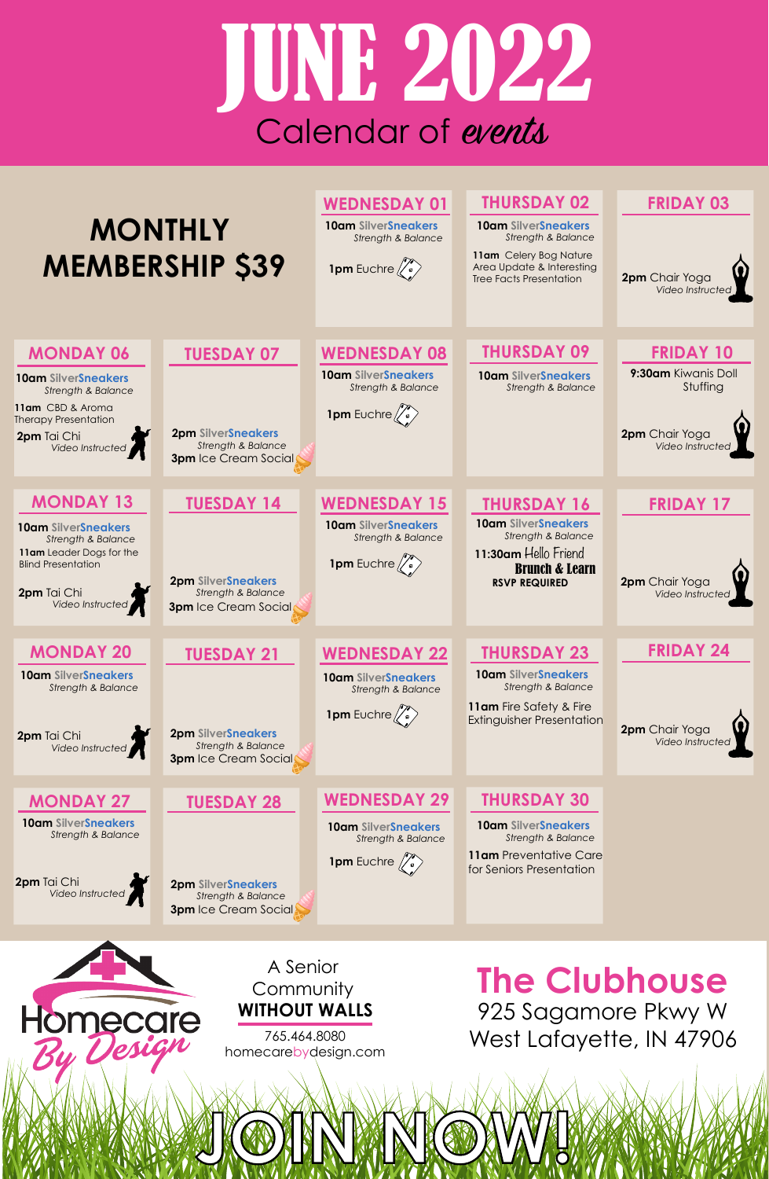#### A Senior **Community WITHOUT WALLS**

# **The Clubhouse**

925 Sagamore Pkwy W West Lafayette, IN 47906 765.464.8080

homecarebydesign.com

# JUNE 2022 Calendar of events

| <b>MONTHLY</b><br><b>MEMBERSHIP \$39</b>                                                                                                                                           |                                                                                                                | <b>WEDNESDAY 01</b><br><b>10am SilverSneakers</b><br><b>Strength &amp; Balance</b><br>1pm Euchre $\langle \hat{C} \rangle$         | <b>THURSDAY 02</b><br><b>10am SilverSneakers</b><br><b>Strength &amp; Balance</b><br>11am Celery Bog Nature<br>Area Update & Interesting<br><b>Tree Facts Presentation</b> | <b>FRIDAY 03</b><br>2pm Chair Yoga<br>Video Instructed                                    |
|------------------------------------------------------------------------------------------------------------------------------------------------------------------------------------|----------------------------------------------------------------------------------------------------------------|------------------------------------------------------------------------------------------------------------------------------------|----------------------------------------------------------------------------------------------------------------------------------------------------------------------------|-------------------------------------------------------------------------------------------|
| <b>MONDAY 06</b><br><b>10am SilverSneakers</b><br><b>Strength &amp; Balance</b><br>11am CBD & Aroma<br><b>Therapy Presentation</b><br>2pm Tai Chi<br>Video Instructed              | <b>TUESDAY 07</b><br><b>2pm SilverSneakers</b><br><b>Strength &amp; Balance</b><br><b>3pm</b> Ice Cream Social | <b>WEDNESDAY 08</b><br><b>10am SilverSneakers</b><br><b>Strength &amp; Balance</b><br>1pm Euchre $\left(\sqrt[\ell]{\cdot}\right)$ | <b>THURSDAY 09</b><br><b>10am SilverSneakers</b><br><b>Strength &amp; Balance</b>                                                                                          | <b>FRIDAY 10</b><br>9:30am Kiwanis Doll<br>Stuffing<br>2pm Chair Yoga<br>Video Instructed |
| <b>MONDAY 13</b><br><b>10am SilverSneakers</b><br><b>Strength &amp; Balance</b><br>11am Leader Dogs for the<br><b>Blind Presentation</b><br>2pm Tai Chi<br>Video Instructed<br>'J' | <b>TUESDAY 14</b><br><b>2pm SilverSneakers</b><br>Strength & Balance<br><b>3pm</b> Ice Cream Social            | <b>WEDNESDAY 15</b><br><b>10am SilverSneakers</b><br><b>Strength &amp; Balance</b><br><b>1pm</b> Euchre                            | <b>THURSDAY 16</b><br><b>10am SilverSneakers</b><br><b>Strength &amp; Balance</b><br>11:30am Hello Friend<br><b>Brunch &amp; Learn</b><br><b>RSVP REQUIRED</b>             | <b>FRIDAY 17</b><br>2pm Chair Yoga<br>Video Instructed                                    |
| <b>MONDAY 20</b><br><b>10am SilverSneakers</b><br><b>Strength &amp; Balance</b><br>2pm Tai Chi<br>Video Instructed                                                                 | <b>TUESDAY 21</b><br><b>2pm SilverSneakers</b><br><b>Strength &amp; Balance</b><br><b>3pm</b> Ice Cream Social | <b>WEDNESDAY 22</b><br><b>10am SilverSneakers</b><br><b>Strength &amp; Balance</b><br><b>1pm</b> Euchre $\binom{?}{\circ}$         | <b>THURSDAY 23</b><br><b>10am SilverSneakers</b><br><b>Strength &amp; Balance</b><br>11am Fire Safety & Fire<br><b>Extinguisher Presentation</b>                           | <b>FRIDAY 24</b><br>2pm Chair Yoga<br>Video Instructed                                    |
| <b>MONDAY 27</b><br><b>10am SilverSneakers</b><br><b>Strength &amp; Balance</b>                                                                                                    | <b>TUESDAY 28</b>                                                                                              | <b>WEDNESDAY 29</b><br><b>10am SilverSneakers</b><br><b>Strength &amp; Balance</b>                                                 | <b>THURSDAY 30</b><br><b>10am SilverSneakers</b><br><b>Strength &amp; Balance</b>                                                                                          |                                                                                           |

**1pm** Euchre  $\binom{?}{\circ}$ 

JOIN NOW!

**2pm SilverSneakers**  *Strength & Balance* **3pm** Ice Cream Social



**lomecare** 

By Des

**11am** Preventative Care for Seniors Presentation